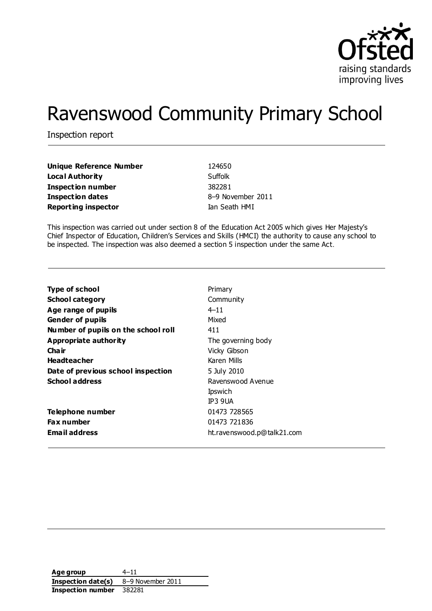

# Ravenswood Community Primary School

Inspection report

| Unique Reference Number    | 124650            |
|----------------------------|-------------------|
| Local Authority            | Suffolk           |
| Inspection number          | 382281            |
| <b>Inspection dates</b>    | 8-9 November 2011 |
| <b>Reporting inspector</b> | Ian Seath HMI     |

This inspection was carried out under section 8 of the Education Act 2005 which gives Her Majesty's Chief Inspector of Education, Children's Services and Skills (HMCI) the authority to cause any school to be inspected. The inspection was also deemed a section 5 inspection under the same Act.

| <b>Type of school</b>               | Primary                    |
|-------------------------------------|----------------------------|
| <b>School category</b>              | Community                  |
| Age range of pupils                 | $4 - 11$                   |
| <b>Gender of pupils</b>             | Mixed                      |
| Number of pupils on the school roll | 411                        |
| Appropriate authority               | The governing body         |
| Cha ir                              | Vicky Gibson               |
| <b>Headteacher</b>                  | Karen Mills                |
| Date of previous school inspection  | 5 July 2010                |
| <b>School address</b>               | Ravenswood Avenue          |
|                                     | Ipswich                    |
|                                     | TP3 9UA                    |
| Telephone number                    | 01473 728565               |
| <b>Fax number</b>                   | 01473 721836               |
| <b>Email address</b>                | ht.ravenswood.p@talk21.com |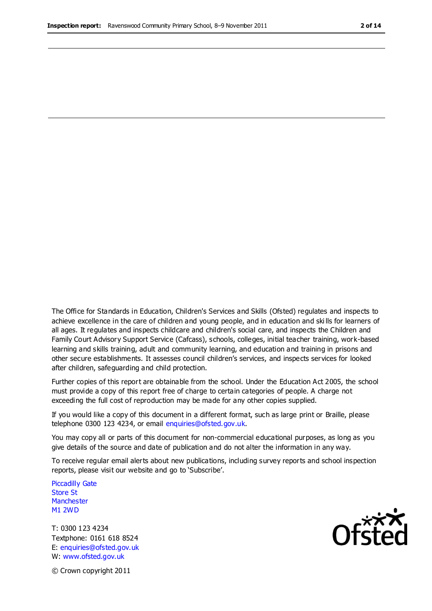The Office for Standards in Education, Children's Services and Skills (Ofsted) regulates and inspects to achieve excellence in the care of children and young people, and in education and ski lls for learners of all ages. It regulates and inspects childcare and children's social care, and inspects the Children and Family Court Advisory Support Service (Cafcass), schools, colleges, initial teacher training, work-based learning and skills training, adult and community learning, and education and training in prisons and other secure establishments. It assesses council children's services, and inspects services for looked after children, safeguarding and child protection.

Further copies of this report are obtainable from the school. Under the Education Act 2005, the school must provide a copy of this report free of charge to certain categories of people. A charge not exceeding the full cost of reproduction may be made for any other copies supplied.

If you would like a copy of this document in a different format, such as large print or Braille, please telephone 0300 123 4234, or email enquiries@ofsted.gov.uk.

You may copy all or parts of this document for non-commercial educational purposes, as long as you give details of the source and date of publication and do not alter the information in any way.

To receive regular email alerts about new publications, including survey reports and school inspection reports, please visit our website and go to 'Subscribe'.

Piccadilly Gate Store St **Manchester** M1 2WD

T: 0300 123 4234 Textphone: 0161 618 8524 E: enquiries@ofsted.gov.uk W: www.ofsted.gov.uk

∩fčfer

© Crown copyright 2011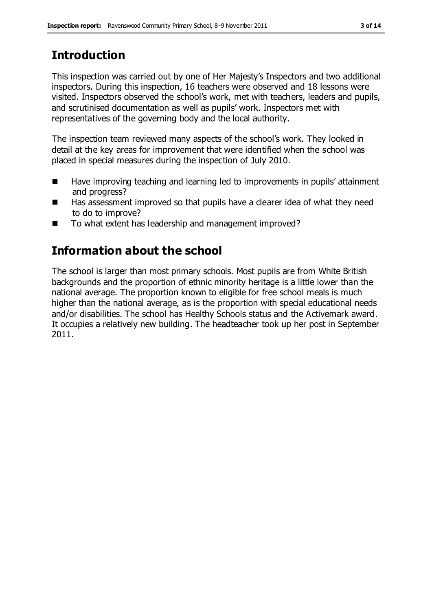# **Introduction**

This inspection was carried out by one of Her Majesty's Inspectors and two additional inspectors. During this inspection, 16 teachers were observed and 18 lessons were visited. Inspectors observed the school's work, met with teachers, leaders and pupils, and scrutinised documentation as well as pupils' work. Inspectors met with representatives of the governing body and the local authority.

The inspection team reviewed many aspects of the school's work. They looked in detail at the key areas for improvement that were identified when the school was placed in special measures during the inspection of July 2010.

- Have improving teaching and learning led to improvements in pupils' attainment and progress?
- Has assessment improved so that pupils have a clearer idea of what they need to do to improve?
- To what extent has leadership and management improved?

# **Information about the school**

The school is larger than most primary schools. Most pupils are from White British backgrounds and the proportion of ethnic minority heritage is a little lower than the national average. The proportion known to eligible for free school meals is much higher than the national average, as is the proportion with special educational needs and/or disabilities. The school has Healthy Schools status and the Activemark award. It occupies a relatively new building. The headteacher took up her post in September 2011.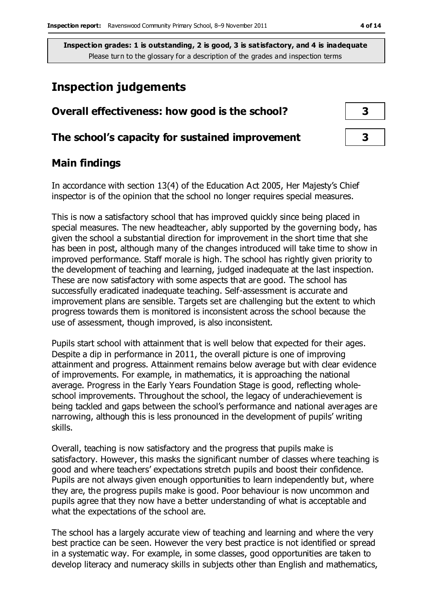## **Inspection judgements**

| Overall effectiveness: how good is the school?  |  |  |
|-------------------------------------------------|--|--|
| The school's capacity for sustained improvement |  |  |

#### **Main findings**

In accordance with section 13(4) of the Education Act 2005, Her Majesty's Chief inspector is of the opinion that the school no longer requires special measures.

This is now a satisfactory school that has improved quickly since being placed in special measures. The new headteacher, ably supported by the governing body, has given the school a substantial direction for improvement in the short time that she has been in post, although many of the changes introduced will take time to show in improved performance. Staff morale is high. The school has rightly given priority to the development of teaching and learning, judged inadequate at the last inspection. These are now satisfactory with some aspects that are good. The school has successfully eradicated inadequate teaching. Self-assessment is accurate and improvement plans are sensible. Targets set are challenging but the extent to which progress towards them is monitored is inconsistent across the school because the use of assessment, though improved, is also inconsistent.

Pupils start school with attainment that is well below that expected for their ages. Despite a dip in performance in 2011, the overall picture is one of improving attainment and progress. Attainment remains below average but with clear evidence of improvements. For example, in mathematics, it is approaching the national average. Progress in the Early Years Foundation Stage is good, reflecting wholeschool improvements. Throughout the school, the legacy of underachievement is being tackled and gaps between the school's performance and national averages are narrowing, although this is less pronounced in the development of pupils' writing skills.

Overall, teaching is now satisfactory and the progress that pupils make is satisfactory. However, this masks the significant number of classes where teaching is good and where teachers' expectations stretch pupils and boost their confidence. Pupils are not always given enough opportunities to learn independently but, where they are, the progress pupils make is good. Poor behaviour is now uncommon and pupils agree that they now have a better understanding of what is acceptable and what the expectations of the school are.

The school has a largely accurate view of teaching and learning and where the very best practice can be seen. However the very best practice is not identified or spread in a systematic way. For example, in some classes, good opportunities are taken to develop literacy and numeracy skills in subjects other than English and mathematics,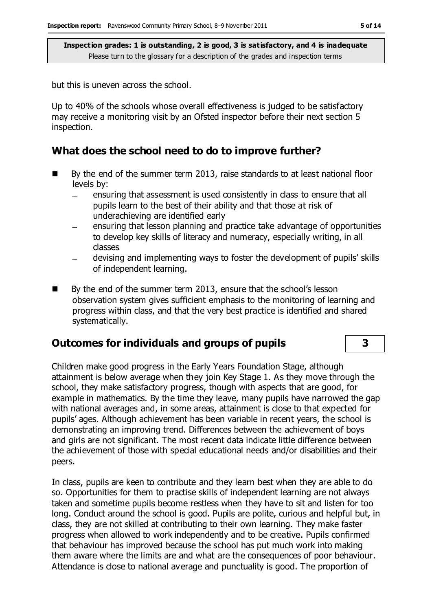but this is uneven across the school.

Up to 40% of the schools whose overall effectiveness is judged to be satisfactory may receive a monitoring visit by an Ofsted inspector before their next section 5 inspection.

### **What does the school need to do to improve further?**

- By the end of the summer term 2013, raise standards to at least national floor levels by:
	- ensuring that assessment is used consistently in class to ensure that all pupils learn to the best of their ability and that those at risk of underachieving are identified early
	- ensuring that lesson planning and practice take advantage of opportunities to develop key skills of literacy and numeracy, especially writing, in all classes
	- devising and implementing ways to foster the development of pupils' skills  $\overline{\phantom{0}}$ of independent learning.
- By the end of the summer term 2013, ensure that the school's lesson observation system gives sufficient emphasis to the monitoring of learning and progress within class, and that the very best practice is identified and shared systematically.

#### **Outcomes for individuals and groups of pupils 3**

Children make good progress in the Early Years Foundation Stage, although attainment is below average when they join Key Stage 1. As they move through the school, they make satisfactory progress, though with aspects that are good, for example in mathematics. By the time they leave, many pupils have narrowed the gap with national averages and, in some areas, attainment is close to that expected for pupils' ages. Although achievement has been variable in recent years, the school is demonstrating an improving trend. Differences between the achievement of boys and girls are not significant. The most recent data indicate little difference between the achievement of those with special educational needs and/or disabilities and their peers.

In class, pupils are keen to contribute and they learn best when they are able to do so. Opportunities for them to practise skills of independent learning are not always taken and sometime pupils become restless when they have to sit and listen for too long. Conduct around the school is good. Pupils are polite, curious and helpful but, in class, they are not skilled at contributing to their own learning. They make faster progress when allowed to work independently and to be creative. Pupils confirmed that behaviour has improved because the school has put much work into making them aware where the limits are and what are the consequences of poor behaviour. Attendance is close to national average and punctuality is good. The proportion of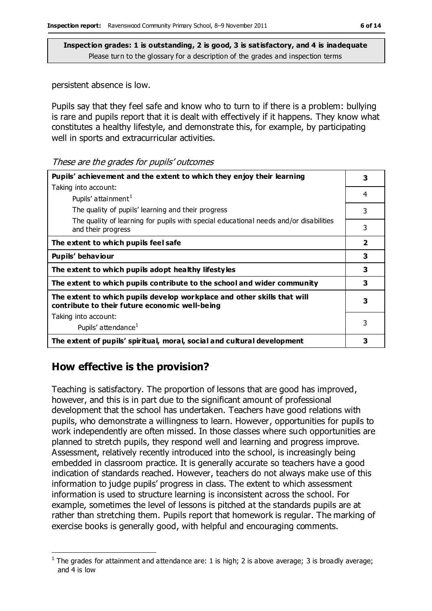persistent absence is low.

Pupils say that they feel safe and know who to turn to if there is a problem: bullying is rare and pupils report that it is dealt with effectively if it happens. They know what constitutes a healthy lifestyle, and demonstrate this, for example, by participating well in sports and extracurricular activities.

| These are the grades for pupils' outcomes |  |  |
|-------------------------------------------|--|--|
|-------------------------------------------|--|--|

| Pupils' achievement and the extent to which they enjoy their learning                                                     |                |
|---------------------------------------------------------------------------------------------------------------------------|----------------|
| Taking into account:                                                                                                      |                |
| Pupils' attainment <sup>1</sup>                                                                                           | 4              |
| The quality of pupils' learning and their progress                                                                        | 3              |
| The quality of learning for pupils with special educational needs and/or disabilities<br>and their progress               | 3              |
| The extent to which pupils feel safe                                                                                      | $\overline{2}$ |
| Pupils' behaviour                                                                                                         | 3              |
| The extent to which pupils adopt healthy lifestyles                                                                       | 3              |
| The extent to which pupils contribute to the school and wider community                                                   | 3              |
| The extent to which pupils develop workplace and other skills that will<br>contribute to their future economic well-being | 3              |
| Taking into account:                                                                                                      |                |
| Pupils' attendance <sup>1</sup>                                                                                           | 3              |
| The extent of pupils' spiritual, moral, social and cultural development                                                   | 3              |

## **How effective is the provision?**

 $\overline{a}$ 

Teaching is satisfactory. The proportion of lessons that are good has improved, however, and this is in part due to the significant amount of professional development that the school has undertaken. Teachers have good relations with pupils, who demonstrate a willingness to learn. However, opportunities for pupils to work independently are often missed. In those classes where such opportunities are planned to stretch pupils, they respond well and learning and progress improve. Assessment, relatively recently introduced into the school, is increasingly being embedded in classroom practice. It is generally accurate so teachers have a good indication of standards reached. However, teachers do not always make use of this information to judge pupils' progress in class. The extent to which assessment information is used to structure learning is inconsistent across the school. For example, sometimes the level of lessons is pitched at the standards pupils are at rather than stretching them. Pupils report that homework is regular. The marking of exercise books is generally good, with helpful and encouraging comments.

<sup>&</sup>lt;sup>1</sup> The grades for attainment and attendance are: 1 is high; 2 is above average; 3 is broadly average; and 4 is low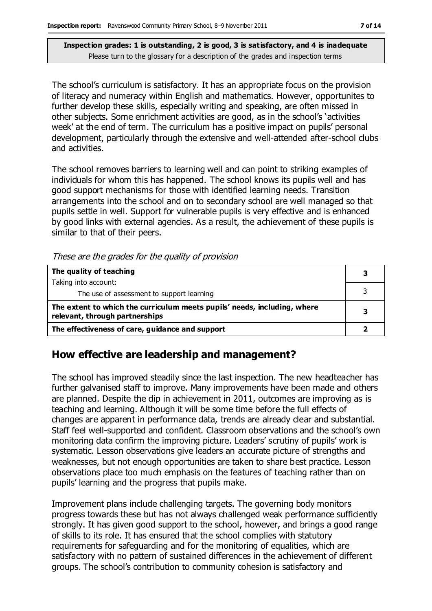The school's curriculum is satisfactory. It has an appropriate focus on the provision of literacy and numeracy within English and mathematics. However, opportunites to further develop these skills, especially writing and speaking, are often missed in other subjects. Some enrichment activities are good, as in the school's 'activities week' at the end of term. The curriculum has a positive impact on pupils' personal development, particularly through the extensive and well-attended after-school clubs and activities.

The school removes barriers to learning well and can point to striking examples of individuals for whom this has happened. The school knows its pupils well and has good support mechanisms for those with identified learning needs. Transition arrangements into the school and on to secondary school are well managed so that pupils settle in well. Support for vulnerable pupils is very effective and is enhanced by good links with external agencies. As a result, the achievement of these pupils is similar to that of their peers.

|  |  | These are the grades for the quality of provision |  |  |  |
|--|--|---------------------------------------------------|--|--|--|
|--|--|---------------------------------------------------|--|--|--|

| The quality of teaching                                                                                    |  |
|------------------------------------------------------------------------------------------------------------|--|
| Taking into account:                                                                                       |  |
| The use of assessment to support learning                                                                  |  |
| The extent to which the curriculum meets pupils' needs, including, where<br>relevant, through partnerships |  |
| The effectiveness of care, guidance and support                                                            |  |

#### **How effective are leadership and management?**

The school has improved steadily since the last inspection. The new headteacher has further galvanised staff to improve. Many improvements have been made and others are planned. Despite the dip in achievement in 2011, outcomes are improving as is teaching and learning. Although it will be some time before the full effects of changes are apparent in performance data, trends are already clear and substantial. Staff feel well-supported and confident. Classroom observations and the school's own monitoring data confirm the improving picture. Leaders' scrutiny of pupils' work is systematic. Lesson observations give leaders an accurate picture of strengths and weaknesses, but not enough opportunities are taken to share best practice. Lesson observations place too much emphasis on the features of teaching rather than on pupils' learning and the progress that pupils make.

Improvement plans include challenging targets. The governing body monitors progress towards these but has not always challenged weak performance sufficiently strongly. It has given good support to the school, however, and brings a good range of skills to its role. It has ensured that the school complies with statutory requirements for safeguarding and for the monitoring of equalities, which are satisfactory with no pattern of sustained differences in the achievement of different groups. The school's contribution to community cohesion is satisfactory and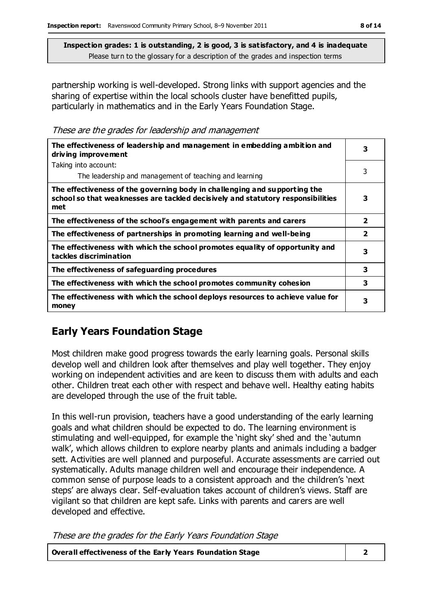partnership working is well-developed. Strong links with support agencies and the sharing of expertise within the local schools cluster have benefitted pupils, particularly in mathematics and in the Early Years Foundation Stage.

These are the grades for leadership and management

| The effectiveness of leadership and management in embedding ambition and<br>driving improvement                                                                     |                         |  |
|---------------------------------------------------------------------------------------------------------------------------------------------------------------------|-------------------------|--|
| Taking into account:                                                                                                                                                |                         |  |
| The leadership and management of teaching and learning                                                                                                              | 3                       |  |
| The effectiveness of the governing body in challenging and supporting the<br>school so that weaknesses are tackled decisively and statutory responsibilities<br>met | 3                       |  |
| The effectiveness of the school's engagement with parents and carers                                                                                                | $\overline{\mathbf{2}}$ |  |
| The effectiveness of partnerships in promoting learning and well-being                                                                                              | $\overline{\mathbf{2}}$ |  |
| The effectiveness with which the school promotes equality of opportunity and<br>tackles discrimination                                                              | 3                       |  |
| The effectiveness of safeguarding procedures                                                                                                                        | 3                       |  |
| The effectiveness with which the school promotes community cohesion                                                                                                 | 3                       |  |
| The effectiveness with which the school deploys resources to achieve value for<br>money                                                                             | 3                       |  |

#### **Early Years Foundation Stage**

Most children make good progress towards the early learning goals. Personal skills develop well and children look after themselves and play well together. They enjoy working on independent activities and are keen to discuss them with adults and each other. Children treat each other with respect and behave well. Healthy eating habits are developed through the use of the fruit table.

In this well-run provision, teachers have a good understanding of the early learning goals and what children should be expected to do. The learning environment is stimulating and well-equipped, for example the 'night sky' shed and the 'autumn walk', which allows children to explore nearby plants and animals including a badger sett. Activities are well planned and purposeful. Accurate assessments are carried out systematically. Adults manage children well and encourage their independence. A common sense of purpose leads to a consistent approach and the children's 'next steps' are always clear. Self-evaluation takes account of children's views. Staff are vigilant so that children are kept safe. Links with parents and carers are well developed and effective.

These are the grades for the Early Years Foundation Stage

| Overall effectiveness of the Early Years Foundation Stage |  |
|-----------------------------------------------------------|--|
|-----------------------------------------------------------|--|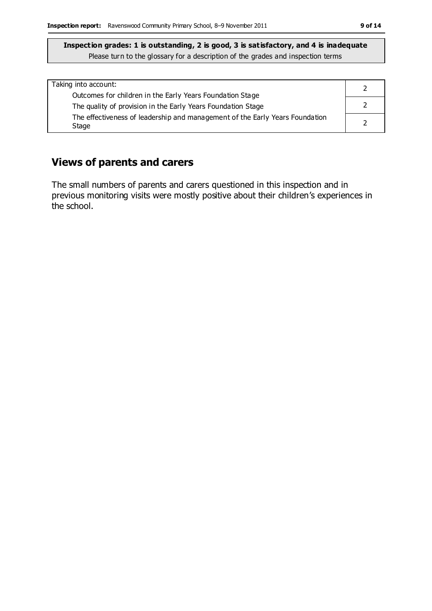## **Views of parents and carers**

The small numbers of parents and carers questioned in this inspection and in previous monitoring visits were mostly positive about their children's experiences in the school.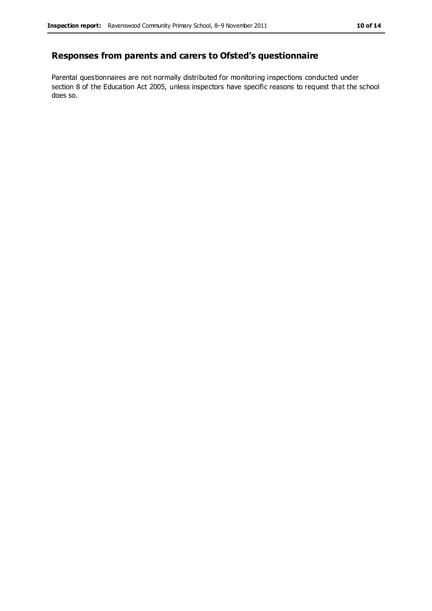#### **Responses from parents and carers to Ofsted's questionnaire**

Parental questionnaires are not normally distributed for monitoring inspections conducted under section 8 of the Education Act 2005, unless inspectors have specific reasons to request that the school does so.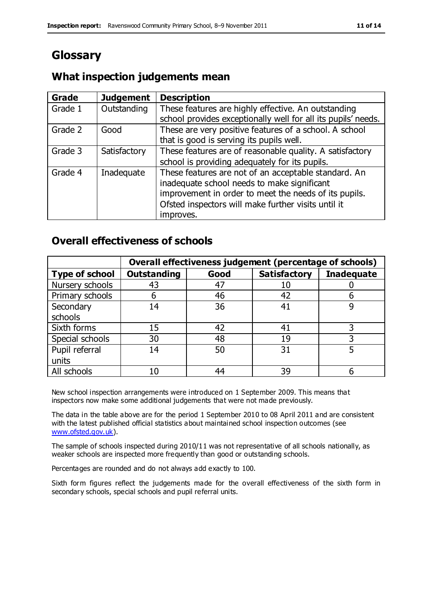# **Glossary**

### **What inspection judgements mean**

| Grade   | <b>Judgement</b> | <b>Description</b>                                                                                                                                                                                                               |
|---------|------------------|----------------------------------------------------------------------------------------------------------------------------------------------------------------------------------------------------------------------------------|
| Grade 1 | Outstanding      | These features are highly effective. An outstanding<br>school provides exceptionally well for all its pupils' needs.                                                                                                             |
| Grade 2 | Good             | These are very positive features of a school. A school<br>that is good is serving its pupils well.                                                                                                                               |
| Grade 3 | Satisfactory     | These features are of reasonable quality. A satisfactory<br>school is providing adequately for its pupils.                                                                                                                       |
| Grade 4 | Inadequate       | These features are not of an acceptable standard. An<br>inadequate school needs to make significant<br>improvement in order to meet the needs of its pupils.<br>Ofsted inspectors will make further visits until it<br>improves. |

#### **Overall effectiveness of schools**

|                       | Overall effectiveness judgement (percentage of schools) |      |                     |                   |
|-----------------------|---------------------------------------------------------|------|---------------------|-------------------|
| <b>Type of school</b> | <b>Outstanding</b>                                      | Good | <b>Satisfactory</b> | <b>Inadequate</b> |
| Nursery schools       | 43                                                      | 47   | 10                  |                   |
| Primary schools       | 6                                                       | 46   | 42                  |                   |
| Secondary             | 14                                                      | 36   | 41                  |                   |
| schools               |                                                         |      |                     |                   |
| Sixth forms           | 15                                                      | 42   | 41                  | 3                 |
| Special schools       | 30                                                      | 48   | 19                  |                   |
| Pupil referral        | 14                                                      | 50   | 31                  |                   |
| units                 |                                                         |      |                     |                   |
| All schools           | 10                                                      | 44   | 39                  |                   |

New school inspection arrangements were introduced on 1 September 2009. This means that inspectors now make some additional judgements that were not made previously.

The data in the table above are for the period 1 September 2010 to 08 April 2011 and are consistent with the latest published official statistics about maintained school inspection outcomes (see [www.ofsted.gov.uk\)](http://www.ofsted.gov.uk/).

The sample of schools inspected during 2010/11 was not representative of all schools nationally, as weaker schools are inspected more frequently than good or outstanding schools.

Percentages are rounded and do not always add exactly to 100.

Sixth form figures reflect the judgements made for the overall effectiveness of the sixth form in secondary schools, special schools and pupil referral units.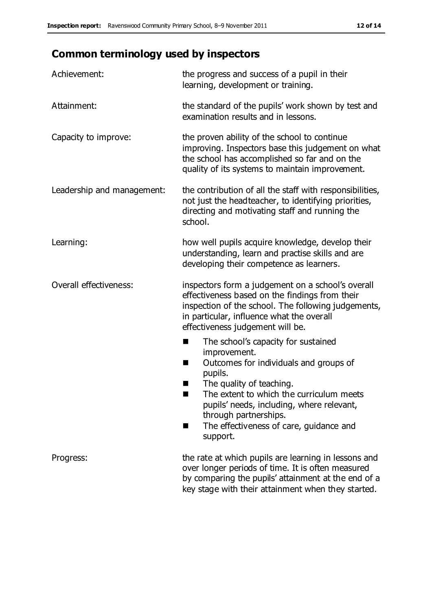# **Common terminology used by inspectors**

| Achievement:                  | the progress and success of a pupil in their<br>learning, development or training.                                                                                                                                                                                                                                           |
|-------------------------------|------------------------------------------------------------------------------------------------------------------------------------------------------------------------------------------------------------------------------------------------------------------------------------------------------------------------------|
| Attainment:                   | the standard of the pupils' work shown by test and<br>examination results and in lessons.                                                                                                                                                                                                                                    |
| Capacity to improve:          | the proven ability of the school to continue<br>improving. Inspectors base this judgement on what<br>the school has accomplished so far and on the<br>quality of its systems to maintain improvement.                                                                                                                        |
| Leadership and management:    | the contribution of all the staff with responsibilities,<br>not just the headteacher, to identifying priorities,<br>directing and motivating staff and running the<br>school.                                                                                                                                                |
| Learning:                     | how well pupils acquire knowledge, develop their<br>understanding, learn and practise skills and are<br>developing their competence as learners.                                                                                                                                                                             |
| <b>Overall effectiveness:</b> | inspectors form a judgement on a school's overall<br>effectiveness based on the findings from their<br>inspection of the school. The following judgements,<br>in particular, influence what the overall<br>effectiveness judgement will be.                                                                                  |
|                               | The school's capacity for sustained<br>×<br>improvement.<br>Outcomes for individuals and groups of<br>п<br>pupils.<br>The quality of teaching.<br>The extent to which the curriculum meets<br>pupils' needs, including, where relevant,<br>through partnerships.<br>The effectiveness of care, guidance and<br>■<br>support. |
| Progress:                     | the rate at which pupils are learning in lessons and<br>over longer periods of time. It is often measured<br>by comparing the pupils' attainment at the end of a<br>key stage with their attainment when they started.                                                                                                       |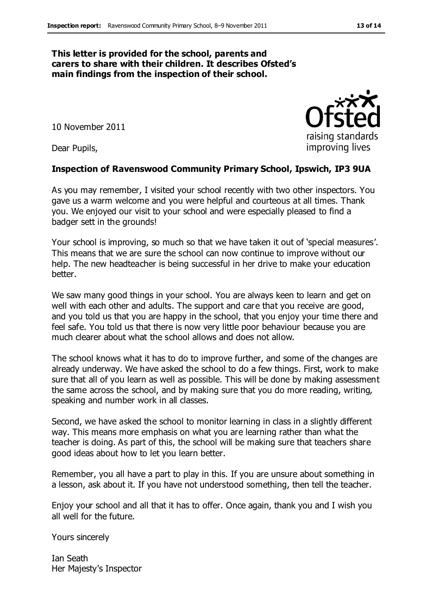#### **This letter is provided for the school, parents and carers to share with their children. It describes Ofsted's main findings from the inspection of their school.**

10 November 2011

Dear Pupils,

#### **Inspection of Ravenswood Community Primary School, Ipswich, IP3 9UA**

As you may remember, I visited your school recently with two other inspectors. You gave us a warm welcome and you were helpful and courteous at all times. Thank you. We enjoyed our visit to your school and were especially pleased to find a badger sett in the grounds!

Your school is improving, so much so that we have taken it out of 'special measures'. This means that we are sure the school can now continue to improve without our help. The new headteacher is being successful in her drive to make your education better.

We saw many good things in your school. You are always keen to learn and get on well with each other and adults. The support and care that you receive are good, and you told us that you are happy in the school, that you enjoy your time there and feel safe. You told us that there is now very little poor behaviour because you are much clearer about what the school allows and does not allow.

The school knows what it has to do to improve further, and some of the changes are already underway. We have asked the school to do a few things. First, work to make sure that all of you learn as well as possible. This will be done by making assessment the same across the school, and by making sure that you do more reading, writing, speaking and number work in all classes.

Second, we have asked the school to monitor learning in class in a slightly different way. This means more emphasis on what you are learning rather than what the teacher is doing. As part of this, the school will be making sure that teachers share good ideas about how to let you learn better.

Remember, you all have a part to play in this. If you are unsure about something in a lesson, ask about it. If you have not understood something, then tell the teacher.

Enjoy your school and all that it has to offer. Once again, thank you and I wish you all well for the future.

Yours sincerely

Ian Seath Her Majesty's Inspector